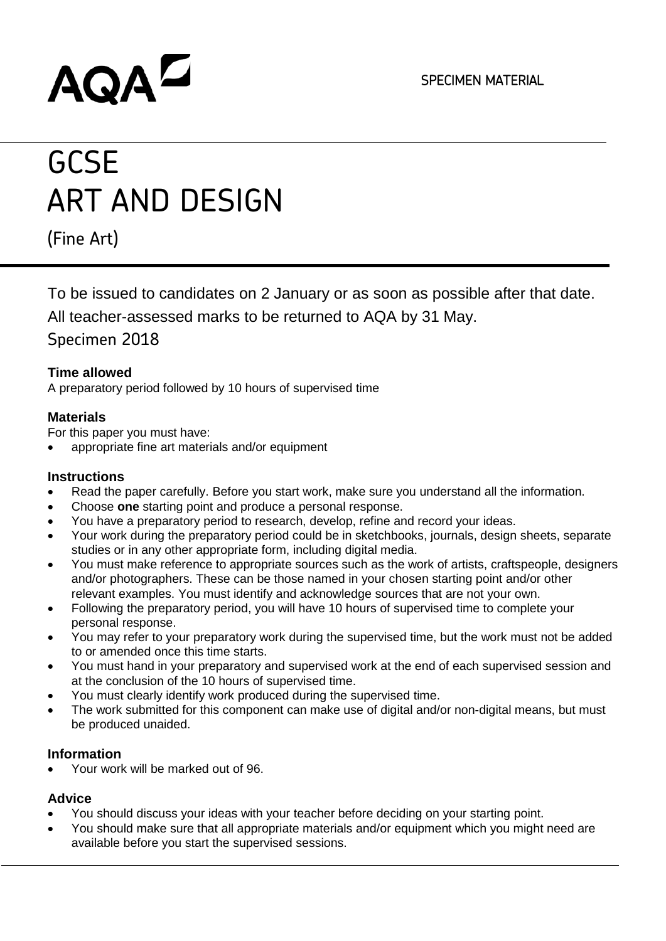# **AQAL**

# **GCSE** ART AND DESIGN

(Fine Art)

To be issued to candidates on 2 January or as soon as possible after that date.

All teacher-assessed marks to be returned to AQA by 31 May.

Specimen 2018

# **Time allowed**

A preparatory period followed by 10 hours of supervised time

# **Materials**

For this paper you must have:

• appropriate fine art materials and/or equipment

## **Instructions**

- Read the paper carefully. Before you start work, make sure you understand all the information.
- Choose **one** starting point and produce a personal response.
- You have a preparatory period to research, develop, refine and record your ideas.
- Your work during the preparatory period could be in sketchbooks, journals, design sheets, separate studies or in any other appropriate form, including digital media.
- You must make reference to appropriate sources such as the work of artists, craftspeople, designers and/or photographers. These can be those named in your chosen starting point and/or other relevant examples. You must identify and acknowledge sources that are not your own.
- Following the preparatory period, you will have 10 hours of supervised time to complete your personal response.
- You may refer to your preparatory work during the supervised time, but the work must not be added to or amended once this time starts.
- You must hand in your preparatory and supervised work at the end of each supervised session and at the conclusion of the 10 hours of supervised time.
- You must clearly identify work produced during the supervised time.
- The work submitted for this component can make use of digital and/or non-digital means, but must be produced unaided.

# **Information**

• Your work will be marked out of 96.

# **Advice**

- You should discuss your ideas with your teacher before deciding on your starting point.
- You should make sure that all appropriate materials and/or equipment which you might need are available before you start the supervised sessions.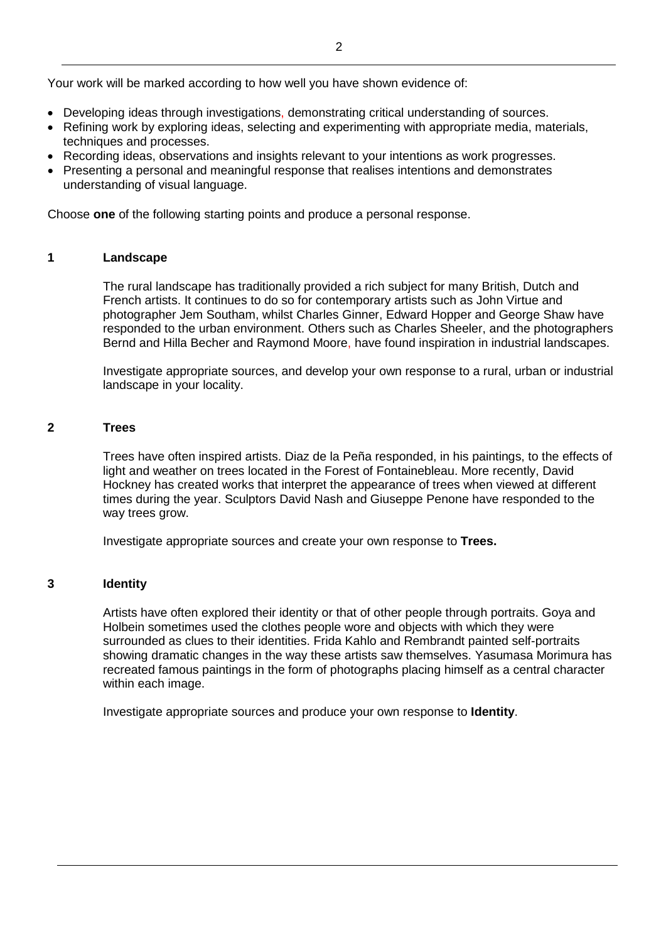Your work will be marked according to how well you have shown evidence of:

- Developing ideas through investigations, demonstrating critical understanding of sources.
- Refining work by exploring ideas, selecting and experimenting with appropriate media, materials, techniques and processes.
- Recording ideas, observations and insights relevant to your intentions as work progresses.
- Presenting a personal and meaningful response that realises intentions and demonstrates understanding of visual language.

Choose **one** of the following starting points and produce a personal response.

#### **1 Landscape**

The rural landscape has traditionally provided a rich subject for many British, Dutch and French artists. It continues to do so for contemporary artists such as John Virtue and photographer Jem Southam, whilst Charles Ginner, Edward Hopper and George Shaw have responded to the urban environment. Others such as Charles Sheeler, and the photographers Bernd and Hilla Becher and Raymond Moore, have found inspiration in industrial landscapes.

Investigate appropriate sources, and develop your own response to a rural, urban or industrial landscape in your locality.

#### **2 Trees**

Trees have often inspired artists. Diaz de la Peña responded, in his paintings, to the effects of light and weather on trees located in the Forest of Fontainebleau. More recently, David Hockney has created works that interpret the appearance of trees when viewed at different times during the year. Sculptors David Nash and Giuseppe Penone have responded to the way trees grow.

Investigate appropriate sources and create your own response to **Trees.**

#### **3 Identity**

Artists have often explored their identity or that of other people through portraits. Goya and Holbein sometimes used the clothes people wore and objects with which they were surrounded as clues to their identities. Frida Kahlo and Rembrandt painted self-portraits showing dramatic changes in the way these artists saw themselves. Yasumasa Morimura has recreated famous paintings in the form of photographs placing himself as a central character within each image.

Investigate appropriate sources and produce your own response to **Identity**.